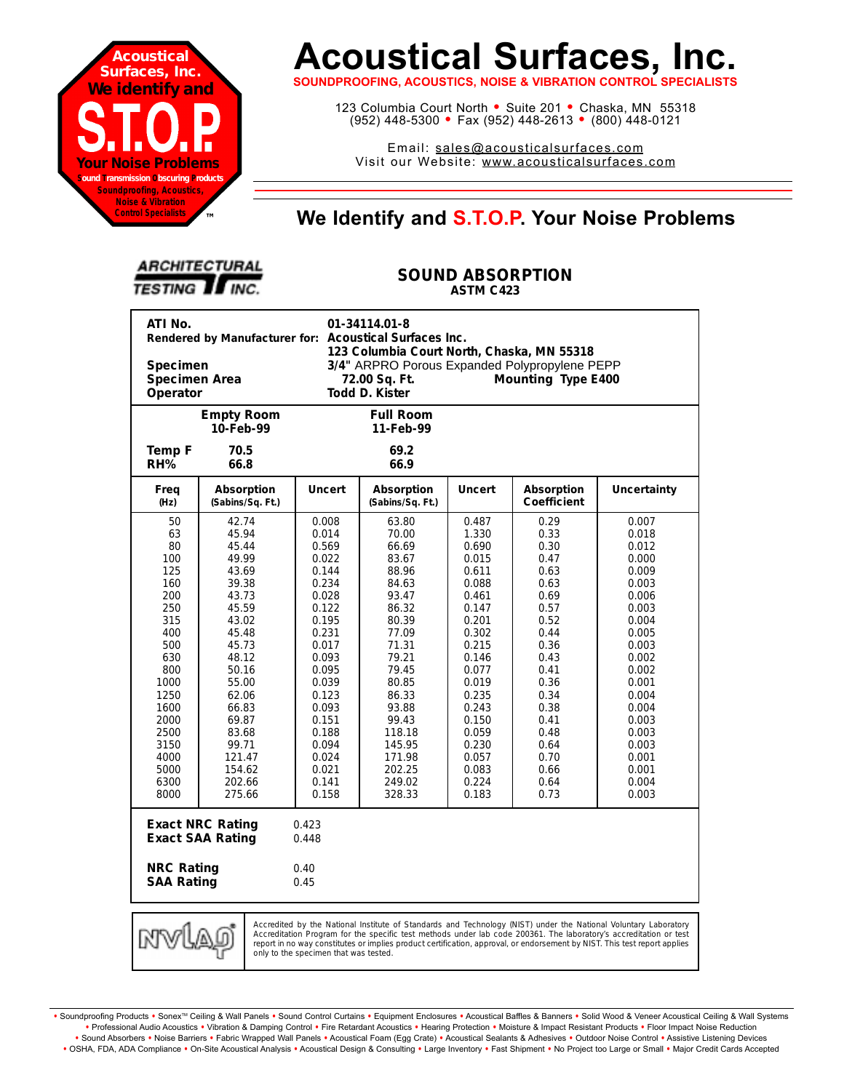

# **Acoustical Surfaces, Inc.**

**SOUNDPROOFING, ACOUSTICS, NOISE & VIBRATION CONTROL SPECIALISTS**

123 Columbia Court North · Suite 201 · Chaska, MN 55318 (952) 448-5300 <sup>=</sup> Fax (952) 448-2613 <sup>=</sup> (800) 448-0121

Email: sales@acousticalsurfaces.com Visit our Website: www.acousticalsurfaces.com

## **™ We Identify and S.T.O.P. Your Noise Problems**

| <b>ARCHITECTURAL</b> |  |
|----------------------|--|
| <b>TESTING TINC.</b> |  |

#### **SOUND ABSORPTION ASTM C423**

| ATI No.<br>01-34114.01-8<br>Rendered by Manufacturer for: Acoustical Surfaces Inc.<br>123 Columbia Court North, Chaska, MN 55318                                                                                                                                                                                                                                        |                                |                |                                |                |                           |                |  |
|-------------------------------------------------------------------------------------------------------------------------------------------------------------------------------------------------------------------------------------------------------------------------------------------------------------------------------------------------------------------------|--------------------------------|----------------|--------------------------------|----------------|---------------------------|----------------|--|
| Specimen<br>3/4" ARPRO Porous Expanded Polypropylene PEPP                                                                                                                                                                                                                                                                                                               |                                |                |                                |                |                           |                |  |
| Specimen Area<br>72.00 Sq. Ft.<br>Mounting Type E400                                                                                                                                                                                                                                                                                                                    |                                |                |                                |                |                           |                |  |
| Todd D. Kister<br>Operator                                                                                                                                                                                                                                                                                                                                              |                                |                |                                |                |                           |                |  |
|                                                                                                                                                                                                                                                                                                                                                                         | <b>Empty Room</b><br>10-Feb-99 |                | <b>Full Room</b><br>11-Feb-99  |                |                           |                |  |
| Temp F<br>RH%                                                                                                                                                                                                                                                                                                                                                           | 70.5<br>66.8                   |                | 69.2<br>66.9                   |                |                           |                |  |
| Freq<br>(Hz)                                                                                                                                                                                                                                                                                                                                                            | Absorption<br>(Sabins/Sq. Ft.) | <b>Uncert</b>  | Absorption<br>(Sabins/Sq. Ft.) | <b>Uncert</b>  | Absorption<br>Coefficient | Uncertainty    |  |
| 50                                                                                                                                                                                                                                                                                                                                                                      | 42.74                          | 0.008          | 63.80                          | 0.487          | 0.29                      | 0.007          |  |
| 63                                                                                                                                                                                                                                                                                                                                                                      | 45.94                          | 0.014          | 70.00                          | 1.330          | 0.33                      | 0.018          |  |
| 80                                                                                                                                                                                                                                                                                                                                                                      | 45.44                          | 0.569          | 66.69                          | 0.690          | 0.30                      | 0.012          |  |
| 100                                                                                                                                                                                                                                                                                                                                                                     | 49.99                          | 0.022          | 83.67                          | 0.015          | 0.47                      | 0.000          |  |
| 125                                                                                                                                                                                                                                                                                                                                                                     | 43.69                          | 0.144          | 88.96                          | 0.611          | 0.63                      | 0.009          |  |
| 160                                                                                                                                                                                                                                                                                                                                                                     | 39.38                          | 0.234          | 84.63                          | 0.088          | 0.63                      | 0.003          |  |
| 200                                                                                                                                                                                                                                                                                                                                                                     | 43.73                          | 0.028          | 93.47                          | 0.461          | 0.69                      | 0.006          |  |
| 250                                                                                                                                                                                                                                                                                                                                                                     | 45.59                          | 0.122          | 86.32                          | 0.147          | 0.57                      | 0.003          |  |
| 315                                                                                                                                                                                                                                                                                                                                                                     | 43.02                          | 0.195          | 80.39                          | 0.201          | 0.52                      | 0.004          |  |
| 400                                                                                                                                                                                                                                                                                                                                                                     | 45.48                          | 0.231          | 77.09                          | 0.302          | 0.44                      | 0.005          |  |
| 500                                                                                                                                                                                                                                                                                                                                                                     | 45.73                          | 0.017          | 71.31                          | 0.215          | 0.36                      | 0.003          |  |
| 630<br>800                                                                                                                                                                                                                                                                                                                                                              | 48.12<br>50.16                 | 0.093          | 79.21<br>79.45                 | 0.146<br>0.077 | 0.43<br>0.41              | 0.002<br>0.002 |  |
| 1000                                                                                                                                                                                                                                                                                                                                                                    | 55.00                          | 0.095<br>0.039 | 80.85                          | 0.019          | 0.36                      | 0.001          |  |
| 1250                                                                                                                                                                                                                                                                                                                                                                    | 62.06                          | 0.123          | 86.33                          | 0.235          | 0.34                      | 0.004          |  |
| 1600                                                                                                                                                                                                                                                                                                                                                                    | 66.83                          | 0.093          | 93.88                          | 0.243          | 0.38                      | 0.004          |  |
| 2000                                                                                                                                                                                                                                                                                                                                                                    | 69.87                          | 0.151          | 99.43                          | 0.150          | 0.41                      | 0.003          |  |
| 2500                                                                                                                                                                                                                                                                                                                                                                    | 83.68                          | 0.188          | 118.18                         | 0.059          | 0.48                      | 0.003          |  |
| 3150                                                                                                                                                                                                                                                                                                                                                                    | 99.71                          | 0.094          | 145.95                         | 0.230          | 0.64                      | 0.003          |  |
| 4000                                                                                                                                                                                                                                                                                                                                                                    | 121.47                         | 0.024          | 171.98                         | 0.057          | 0.70                      | 0.001          |  |
| 5000                                                                                                                                                                                                                                                                                                                                                                    | 154.62                         | 0.021          | 202.25                         | 0.083          | 0.66                      | 0.001          |  |
| 6300                                                                                                                                                                                                                                                                                                                                                                    | 202.66                         | 0.141          | 249.02                         | 0.224          | 0.64                      | 0.004          |  |
| 8000                                                                                                                                                                                                                                                                                                                                                                    | 275.66                         | 0.158          | 328.33                         | 0.183          | 0.73                      | 0.003          |  |
| <b>Exact NRC Rating</b><br>0.423<br><b>Exact SAA Rating</b><br>0.448                                                                                                                                                                                                                                                                                                    |                                |                |                                |                |                           |                |  |
| <b>NRC Rating</b><br>0.40<br><b>SAA Rating</b><br>0.45                                                                                                                                                                                                                                                                                                                  |                                |                |                                |                |                           |                |  |
| Accredited by the National Institute of Standards and Technology (NIST) under the National Voluntary Laboratory<br>MW<br>Accreditation Program for the specific test methods under lab code 200361. The laboratory's accreditation or test<br>report in no way constitutes or implies product certification, approval, or endorsement by NIST. This test report applies |                                |                |                                |                |                           |                |  |

Soundproofing Products . Sonex<sup>TM</sup> Ceiling & Wall Panels . Sound Control Curtains . Equipment Enclosures . Acoustical Baffles & Banners . Solid Wood & Veneer Acoustical Ceiling & Wall Systems **•** Professional Audio Acoustics **•** Vibration & Damping Control **•** Fire Retardant Acoustics **•** Hearing Protection **•** Moisture & Impact Resistant Products **•** Floor Impact Noise Reduction · Sound Absorbers · Noise Barriers · Fabric Wrapped Wall Panels · Acoustical Foam (Egg Crate) · Acoustical Sealants & Adhesives · Outdoor Noise Control · Assistive Listening Devices . OSHA, FDA, ADA Compliance . On-Site Acoustical Analysis . Acoustical Design & Consulting . Large Inventory . Fast Shipment . No Project too Large or Small . Major Credit Cards Accepted

only to the specimen that was tested.